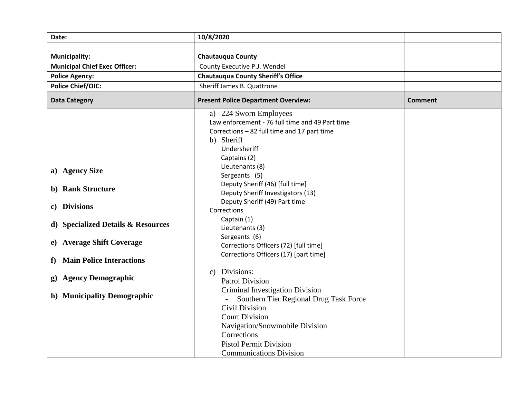| Date:                                                                                                                                                                                                                                  | 10/8/2020                                                                                                                                                                                                                                                                                                                                                                                                                                                                                                                                                                                                                                                                                             |                |
|----------------------------------------------------------------------------------------------------------------------------------------------------------------------------------------------------------------------------------------|-------------------------------------------------------------------------------------------------------------------------------------------------------------------------------------------------------------------------------------------------------------------------------------------------------------------------------------------------------------------------------------------------------------------------------------------------------------------------------------------------------------------------------------------------------------------------------------------------------------------------------------------------------------------------------------------------------|----------------|
|                                                                                                                                                                                                                                        |                                                                                                                                                                                                                                                                                                                                                                                                                                                                                                                                                                                                                                                                                                       |                |
| <b>Municipality:</b>                                                                                                                                                                                                                   | <b>Chautauqua County</b>                                                                                                                                                                                                                                                                                                                                                                                                                                                                                                                                                                                                                                                                              |                |
| <b>Municipal Chief Exec Officer:</b>                                                                                                                                                                                                   | County Executive P.J. Wendel                                                                                                                                                                                                                                                                                                                                                                                                                                                                                                                                                                                                                                                                          |                |
| <b>Police Agency:</b>                                                                                                                                                                                                                  | <b>Chautauqua County Sheriff's Office</b>                                                                                                                                                                                                                                                                                                                                                                                                                                                                                                                                                                                                                                                             |                |
| <b>Police Chief/OIC:</b>                                                                                                                                                                                                               | Sheriff James B. Quattrone                                                                                                                                                                                                                                                                                                                                                                                                                                                                                                                                                                                                                                                                            |                |
| <b>Data Category</b>                                                                                                                                                                                                                   | <b>Present Police Department Overview:</b>                                                                                                                                                                                                                                                                                                                                                                                                                                                                                                                                                                                                                                                            | <b>Comment</b> |
| a) Agency Size<br>b) Rank Structure<br>c) Divisions<br>d) Specialized Details & Resources<br>e) Average Shift Coverage<br><b>Main Police Interactions</b><br>f<br><b>Agency Demographic</b><br>$\bf g)$<br>h) Municipality Demographic | a) 224 Sworn Employees<br>Law enforcement - 76 full time and 49 Part time<br>Corrections - 82 full time and 17 part time<br>b) Sheriff<br>Undersheriff<br>Captains (2)<br>Lieutenants (8)<br>Sergeants (5)<br>Deputy Sheriff (46) [full time]<br>Deputy Sheriff Investigators (13)<br>Deputy Sheriff (49) Part time<br>Corrections<br>Captain (1)<br>Lieutenants (3)<br>Sergeants (6)<br>Corrections Officers (72) [full time]<br>Corrections Officers (17) [part time]<br>Divisions:<br>c)<br><b>Patrol Division</b><br>Criminal Investigation Division<br>Southern Tier Regional Drug Task Force<br><b>Civil Division</b><br><b>Court Division</b><br>Navigation/Snowmobile Division<br>Corrections |                |
|                                                                                                                                                                                                                                        | <b>Pistol Permit Division</b><br><b>Communications Division</b>                                                                                                                                                                                                                                                                                                                                                                                                                                                                                                                                                                                                                                       |                |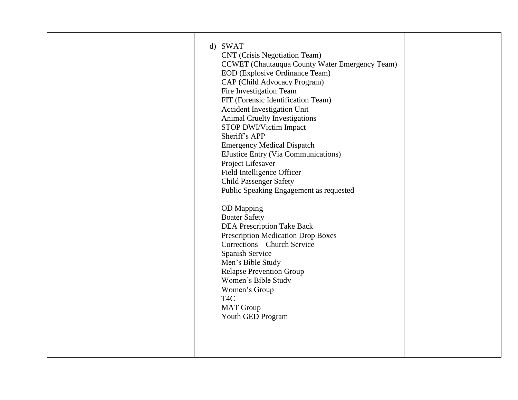| <b>CNT</b> (Crisis Negotiation Team)<br><b>CCWET</b> (Chautauqua County Water Emergency Team)<br>EOD (Explosive Ordinance Team)<br>CAP (Child Advocacy Program)<br>Fire Investigation Team<br>FIT (Forensic Identification Team)<br>Accident Investigation Unit<br><b>Animal Cruelty Investigations</b><br>STOP DWI/Victim Impact<br>Sheriff's APP<br><b>Emergency Medical Dispatch</b><br><b>EJustice Entry (Via Communications)</b><br>Project Lifesaver<br>Field Intelligence Officer<br><b>Child Passenger Safety</b><br>Public Speaking Engagement as requested<br><b>OD</b> Mapping<br><b>Boater Safety</b><br><b>DEA Prescription Take Back</b><br><b>Prescription Medication Drop Boxes</b><br>Corrections - Church Service<br>Spanish Service<br>Men's Bible Study<br><b>Relapse Prevention Group</b><br>Women's Bible Study<br>Women's Group<br>T <sub>4</sub> C<br><b>MAT</b> Group<br>Youth GED Program |
|---------------------------------------------------------------------------------------------------------------------------------------------------------------------------------------------------------------------------------------------------------------------------------------------------------------------------------------------------------------------------------------------------------------------------------------------------------------------------------------------------------------------------------------------------------------------------------------------------------------------------------------------------------------------------------------------------------------------------------------------------------------------------------------------------------------------------------------------------------------------------------------------------------------------|
|---------------------------------------------------------------------------------------------------------------------------------------------------------------------------------------------------------------------------------------------------------------------------------------------------------------------------------------------------------------------------------------------------------------------------------------------------------------------------------------------------------------------------------------------------------------------------------------------------------------------------------------------------------------------------------------------------------------------------------------------------------------------------------------------------------------------------------------------------------------------------------------------------------------------|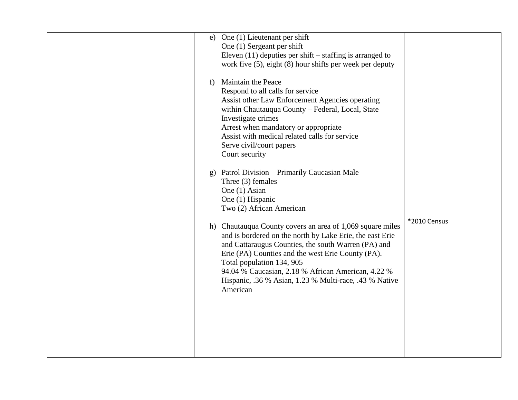| e)               | One (1) Lieutenant per shift                                  |              |
|------------------|---------------------------------------------------------------|--------------|
|                  | One (1) Sergeant per shift                                    |              |
|                  | Eleven $(11)$ deputies per shift – staffing is arranged to    |              |
|                  | work five $(5)$ , eight $(8)$ hour shifts per week per deputy |              |
|                  |                                                               |              |
| f)               | <b>Maintain the Peace</b>                                     |              |
|                  | Respond to all calls for service                              |              |
|                  | Assist other Law Enforcement Agencies operating               |              |
|                  | within Chautauqua County - Federal, Local, State              |              |
|                  | Investigate crimes                                            |              |
|                  | Arrest when mandatory or appropriate                          |              |
|                  |                                                               |              |
|                  | Assist with medical related calls for service                 |              |
|                  | Serve civil/court papers                                      |              |
|                  | Court security                                                |              |
|                  |                                                               |              |
| $\mathfrak{g}$ ) | Patrol Division - Primarily Caucasian Male                    |              |
|                  | Three $(3)$ females                                           |              |
|                  | One (1) Asian                                                 |              |
|                  | One (1) Hispanic                                              |              |
|                  | Two (2) African American                                      |              |
|                  |                                                               | *2010 Census |
|                  | h) Chautauqua County covers an area of 1,069 square miles     |              |
|                  | and is bordered on the north by Lake Erie, the east Erie      |              |
|                  | and Cattaraugus Counties, the south Warren (PA) and           |              |
|                  | Erie (PA) Counties and the west Erie County (PA).             |              |
|                  | Total population 134, 905                                     |              |
|                  | 94.04 % Caucasian, 2.18 % African American, 4.22 %            |              |
|                  | Hispanic, .36 % Asian, 1.23 % Multi-race, .43 % Native        |              |
|                  | American                                                      |              |
|                  |                                                               |              |
|                  |                                                               |              |
|                  |                                                               |              |
|                  |                                                               |              |
|                  |                                                               |              |
|                  |                                                               |              |
|                  |                                                               |              |
|                  |                                                               |              |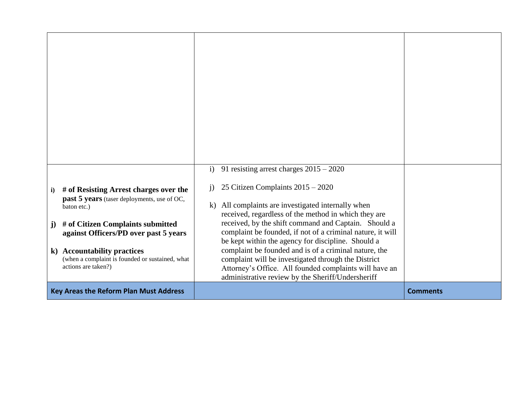| # of Resisting Arrest charges over the<br>$\mathbf{i}$<br><b>past 5 years</b> (taser deployments, use of OC,<br>baton etc.)<br># of Citizen Complaints submitted<br>$\mathbf{j}$ )<br>against Officers/PD over past 5 years<br>k) Accountability practices<br>(when a complaint is founded or sustained, what<br>actions are taken?) | 91 resisting arrest charges $2015 - 2020$<br>$\mathbf{i}$<br>25 Citizen Complaints 2015 - 2020<br>$\mathbf{i}$<br>All complaints are investigated internally when<br>$\bf{k}$ )<br>received, regardless of the method in which they are<br>received, by the shift command and Captain. Should a<br>complaint be founded, if not of a criminal nature, it will<br>be kept within the agency for discipline. Should a<br>complaint be founded and is of a criminal nature, the<br>complaint will be investigated through the District<br>Attorney's Office. All founded complaints will have an<br>administrative review by the Sheriff/Undersheriff |                 |
|--------------------------------------------------------------------------------------------------------------------------------------------------------------------------------------------------------------------------------------------------------------------------------------------------------------------------------------|----------------------------------------------------------------------------------------------------------------------------------------------------------------------------------------------------------------------------------------------------------------------------------------------------------------------------------------------------------------------------------------------------------------------------------------------------------------------------------------------------------------------------------------------------------------------------------------------------------------------------------------------------|-----------------|
| <b>Key Areas the Reform Plan Must Address</b>                                                                                                                                                                                                                                                                                        |                                                                                                                                                                                                                                                                                                                                                                                                                                                                                                                                                                                                                                                    | <b>Comments</b> |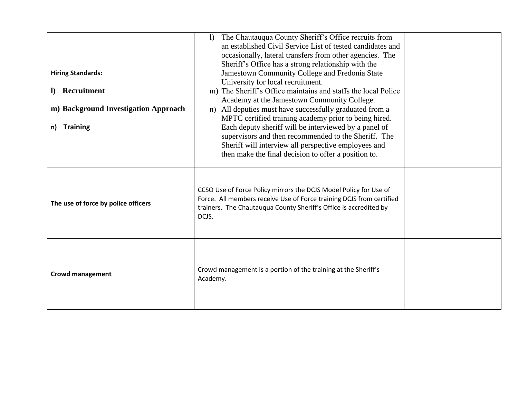| <b>Hiring Standards:</b><br>Recruitment<br>D.<br>m) Background Investigation Approach<br><b>Training</b><br>n) | The Chautauqua County Sheriff's Office recruits from<br>$\mathbf{I}$<br>an established Civil Service List of tested candidates and<br>occasionally, lateral transfers from other agencies. The<br>Sheriff's Office has a strong relationship with the<br>Jamestown Community College and Fredonia State<br>University for local recruitment.<br>m) The Sheriff's Office maintains and staffs the local Police<br>Academy at the Jamestown Community College.<br>All deputies must have successfully graduated from a<br>n)<br>MPTC certified training academy prior to being hired.<br>Each deputy sheriff will be interviewed by a panel of<br>supervisors and then recommended to the Sheriff. The<br>Sheriff will interview all perspective employees and<br>then make the final decision to offer a position to. |  |
|----------------------------------------------------------------------------------------------------------------|----------------------------------------------------------------------------------------------------------------------------------------------------------------------------------------------------------------------------------------------------------------------------------------------------------------------------------------------------------------------------------------------------------------------------------------------------------------------------------------------------------------------------------------------------------------------------------------------------------------------------------------------------------------------------------------------------------------------------------------------------------------------------------------------------------------------|--|
| The use of force by police officers                                                                            | CCSO Use of Force Policy mirrors the DCJS Model Policy for Use of<br>Force. All members receive Use of Force training DCJS from certified<br>trainers. The Chautauqua County Sheriff's Office is accredited by<br>DCJS.                                                                                                                                                                                                                                                                                                                                                                                                                                                                                                                                                                                              |  |
| <b>Crowd management</b>                                                                                        | Crowd management is a portion of the training at the Sheriff's<br>Academy.                                                                                                                                                                                                                                                                                                                                                                                                                                                                                                                                                                                                                                                                                                                                           |  |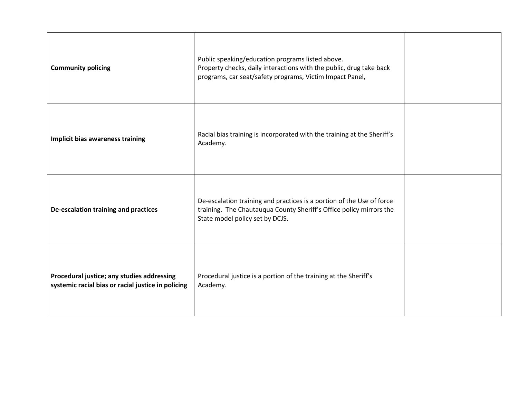| <b>Community policing</b>                                                                        | Public speaking/education programs listed above.<br>Property checks, daily interactions with the public, drug take back<br>programs, car seat/safety programs, Victim Impact Panel, |  |
|--------------------------------------------------------------------------------------------------|-------------------------------------------------------------------------------------------------------------------------------------------------------------------------------------|--|
| Implicit bias awareness training                                                                 | Racial bias training is incorporated with the training at the Sheriff's<br>Academy.                                                                                                 |  |
| De-escalation training and practices                                                             | De-escalation training and practices is a portion of the Use of force<br>training. The Chautauqua County Sheriff's Office policy mirrors the<br>State model policy set by DCJS.     |  |
| Procedural justice; any studies addressing<br>systemic racial bias or racial justice in policing | Procedural justice is a portion of the training at the Sheriff's<br>Academy.                                                                                                        |  |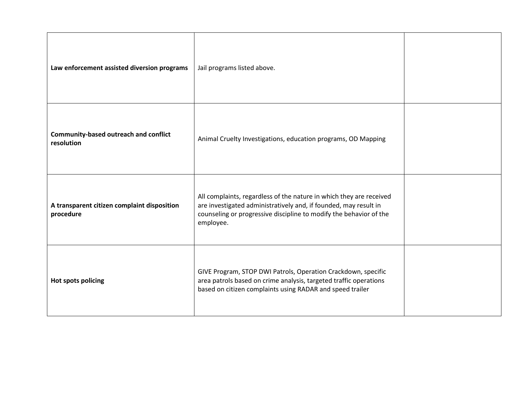| Law enforcement assisted diversion programs                | Jail programs listed above.                                                                                                                                                                                                |  |
|------------------------------------------------------------|----------------------------------------------------------------------------------------------------------------------------------------------------------------------------------------------------------------------------|--|
| <b>Community-based outreach and conflict</b><br>resolution | Animal Cruelty Investigations, education programs, OD Mapping                                                                                                                                                              |  |
| A transparent citizen complaint disposition<br>procedure   | All complaints, regardless of the nature in which they are received<br>are investigated administratively and, if founded, may result in<br>counseling or progressive discipline to modify the behavior of the<br>employee. |  |
| Hot spots policing                                         | GIVE Program, STOP DWI Patrols, Operation Crackdown, specific<br>area patrols based on crime analysis, targeted traffic operations<br>based on citizen complaints using RADAR and speed trailer                            |  |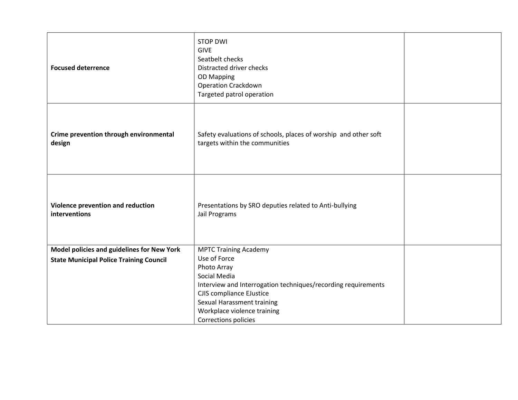| <b>Focused deterrence</b>                          | <b>STOP DWI</b><br><b>GIVE</b><br>Seatbelt checks<br>Distracted driver checks<br><b>OD Mapping</b><br><b>Operation Crackdown</b><br>Targeted patrol operation |  |
|----------------------------------------------------|---------------------------------------------------------------------------------------------------------------------------------------------------------------|--|
| Crime prevention through environmental<br>design   | Safety evaluations of schools, places of worship and other soft<br>targets within the communities                                                             |  |
| Violence prevention and reduction<br>interventions | Presentations by SRO deputies related to Anti-bullying<br>Jail Programs                                                                                       |  |
| Model policies and guidelines for New York         | <b>MPTC Training Academy</b><br>Use of Force                                                                                                                  |  |
| <b>State Municipal Police Training Council</b>     | Photo Array                                                                                                                                                   |  |
|                                                    | Social Media                                                                                                                                                  |  |
|                                                    | Interview and Interrogation techniques/recording requirements<br><b>CJIS compliance EJustice</b>                                                              |  |
|                                                    | Sexual Harassment training                                                                                                                                    |  |
|                                                    | Workplace violence training                                                                                                                                   |  |
|                                                    | Corrections policies                                                                                                                                          |  |